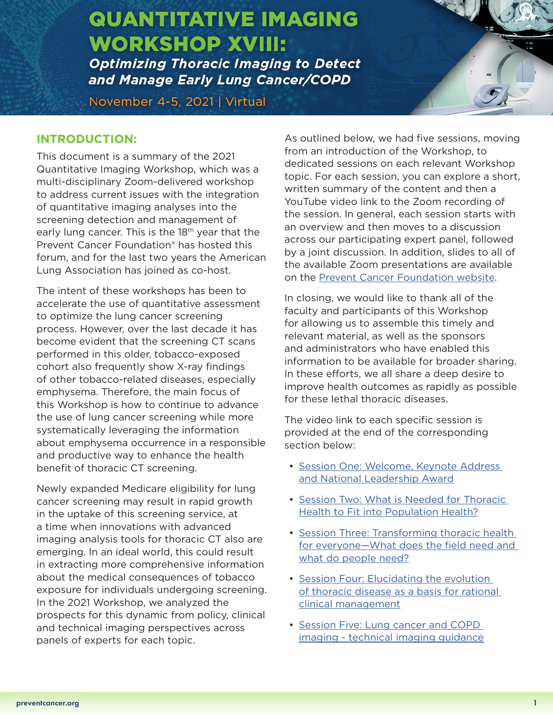# **QUANTITATIVE IMAGING WORKSHOP XVIII:**

**Optimizing Thoracic Imaging to Detect** and Manage Early Lung Cancer/COPD

November 4-5, 2021 | Virtual

# **INTRODUCTION:**

This document is a summary of the 2021 Quantitative Imaging Workshop, which was a multi-disciplinary Zoom-delivered workshop to address current issues with the integration of quantitative imaging analyses into the screening detection and management of early lung cancer. This is the 18<sup>th</sup> year that the Prevent Cancer Foundation® has hosted this forum, and for the last two years the American Lung Association has joined as co-host.

The intent of these workshops has been to accelerate the use of quantitative assessment to optimize the lung cancer screening process. However, over the last decade it has become evident that the screening CT scans performed in this older, tobacco-exposed cohort also frequently show X-ray findings of other tobacco-related diseases, especially emphysema. Therefore, the main focus of this Workshop is how to continue to advance the use of lung cancer screening while more systematically leveraging the information about emphysema occurrence in a responsible and productive way to enhance the health benefit of thoracic CT screening.

Newly expanded Medicare eligibility for lung cancer screening may result in rapid growth in the uptake of this screening service, at a time when innovations with advanced imaging analysis tools for thoracic CT also are emerging. In an ideal world, this could result in extracting more comprehensive information about the medical consequences of tobacco exposure for individuals undergoing screening. In the 2021 Workshop, we analyzed the prospects for this dynamic from policy, clinical and technical imaging perspectives across panels of experts for each topic.

As outlined below, we had five sessions, moving from an introduction of the Workshop, to dedicated sessions on each relevant Workshop topic. For each session, you can explore a short, written summary of the content and then a YouTube video link to the Zoom recording of the session. In general, each session starts with an overview and then moves to a discussion across our participating expert panel, followed by a joint discussion. In addition, slides to all of the available Zoom presentations are available on the [Prevent Cancer Foundation website.](https://www.preventcancer.org/conferences/quantitative-imaging-workshop/qiw-xviii-materials-2021/)

QUANTITATIVE IMAGING WORKSHOP XVIII: WAS ARRESTED FOR THE UNION OF THE UNION OF THE UNION OF THE UNION OF THE U

November 4-5, 2021 | Virtual and 2021 | Virtual and 2021

In closing, we would like to thank all of the faculty and participants of this Workshop for allowing us to assemble this timely and relevant material, as well as the sponsors and administrators who have enabled this information to be available for broader sharing. In these efforts, we all share a deep desire to improve health outcomes as rapidly as possible for these lethal thoracic diseases.

The video link to each specific session is provided at the end of the corresponding section below:

- [Session One: Welcome, Keynote Address](#page-1-0)  [and National Leadership Award](#page-1-0)
- [Session Two: What is Needed for Thoracic](#page-5-0)  [Health to Fit into Population Health?](#page-5-0)
- [Session Three: Transforming thoracic health](#page-10-0)  [for everyone—What does the field need and](#page-10-0)  [what do people need?](#page-10-0)
- [Session Four: Elucidating the evolution](#page-13-0)  of thoracic disease as a basis for rational [clinical management](#page-13-0)
- [Session Five: Lung cancer and COPD](#page-15-0)  [imaging - technical imaging guidance](#page-15-0)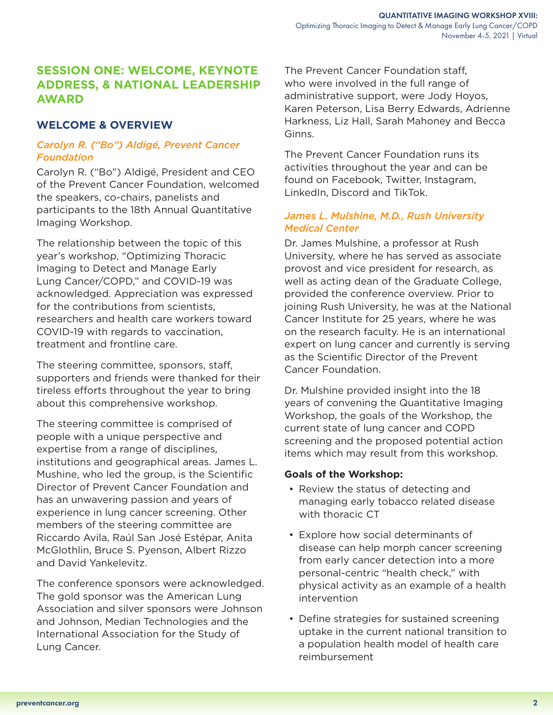# <span id="page-1-0"></span>**SESSION ONE: WELCOME, KEYNOTE ADDRESS, & NATIONAL LEADERSHIP AWARD**

# **WELCOME & OVERVIEW**

## *Carolyn R. ("Bo") Aldigé, Prevent Cancer Foundation*

Carolyn R. ("Bo") Aldigé, President and CEO of the Prevent Cancer Foundation, welcomed the speakers, co-chairs, panelists and participants to the 18th Annual Quantitative Imaging Workshop.

The relationship between the topic of this year's workshop, "Optimizing Thoracic Imaging to Detect and Manage Early Lung Cancer/COPD," and COVID-19 was acknowledged. Appreciation was expressed for the contributions from scientists, researchers and health care workers toward COVID-19 with regards to vaccination, treatment and frontline care.

The steering committee, sponsors, staff, supporters and friends were thanked for their tireless efforts throughout the year to bring about this comprehensive workshop.

The steering committee is comprised of people with a unique perspective and expertise from a range of disciplines, institutions and geographical areas. James L. Mushine, who led the group, is the Scientific Director of Prevent Cancer Foundation and has an unwavering passion and years of experience in lung cancer screening. Other members of the steering committee are Riccardo Avila, Raúl San José Estépar, Anita McGlothlin, Bruce S. Pyenson, Albert Rizzo and David Yankelevitz.

The conference sponsors were acknowledged. The gold sponsor was the American Lung Association and silver sponsors were Johnson and Johnson, Median Technologies and the International Association for the Study of Lung Cancer.

The Prevent Cancer Foundation staff, who were involved in the full range of administrative support, were Jody Hoyos, Karen Peterson, Lisa Berry Edwards, Adrienne Harkness, Liz Hall, Sarah Mahoney and Becca Ginns.

The Prevent Cancer Foundation runs its activities throughout the year and can be found on Facebook, Twitter, Instagram, LinkedIn, Discord and TikTok.

## *James L. Mulshine, M.D., Rush University Medical Center*

Dr. James Mulshine, a professor at Rush University, where he has served as associate provost and vice president for research, as well as acting dean of the Graduate College, provided the conference overview. Prior to joining Rush University, he was at the National Cancer Institute for 25 years, where he was on the research faculty. He is an international expert on lung cancer and currently is serving as the Scientific Director of the Prevent Cancer Foundation.

Dr. Mulshine provided insight into the 18 years of convening the Quantitative Imaging Workshop, the goals of the Workshop, the current state of lung cancer and COPD screening and the proposed potential action items which may result from this workshop.

## **Goals of the Workshop:**

- Review the status of detecting and managing early tobacco related disease with thoracic CT
- Explore how social determinants of disease can help morph cancer screening from early cancer detection into a more personal-centric "health check," with physical activity as an example of a health intervention
- Define strategies for sustained screening uptake in the current national transition to a population health model of health care reimbursement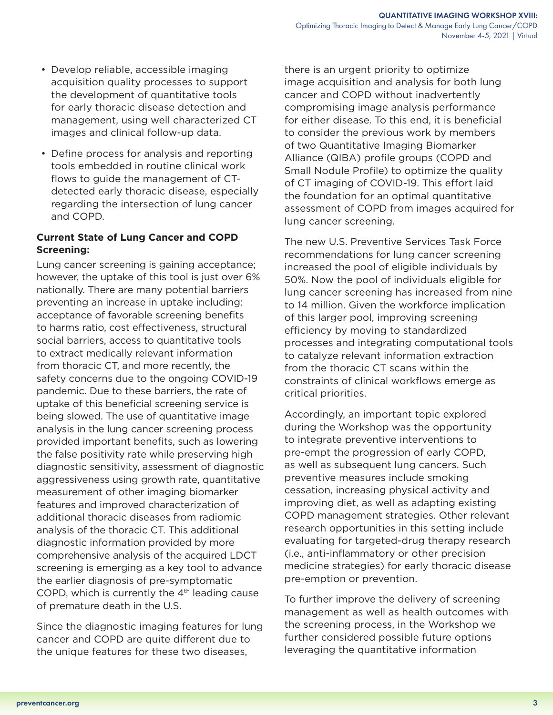- Develop reliable, accessible imaging acquisition quality processes to support the development of quantitative tools for early thoracic disease detection and management, using well characterized CT images and clinical follow-up data.
- Define process for analysis and reporting tools embedded in routine clinical work flows to guide the management of CTdetected early thoracic disease, especially regarding the intersection of lung cancer and COPD.

#### **Current State of Lung Cancer and COPD Screening:**

Lung cancer screening is gaining acceptance; however, the uptake of this tool is just over 6% nationally. There are many potential barriers preventing an increase in uptake including: acceptance of favorable screening benefits to harms ratio, cost effectiveness, structural social barriers, access to quantitative tools to extract medically relevant information from thoracic CT, and more recently, the safety concerns due to the ongoing COVID-19 pandemic. Due to these barriers, the rate of uptake of this beneficial screening service is being slowed. The use of quantitative image analysis in the lung cancer screening process provided important benefits, such as lowering the false positivity rate while preserving high diagnostic sensitivity, assessment of diagnostic aggressiveness using growth rate, quantitative measurement of other imaging biomarker features and improved characterization of additional thoracic diseases from radiomic analysis of the thoracic CT. This additional diagnostic information provided by more comprehensive analysis of the acquired LDCT screening is emerging as a key tool to advance the earlier diagnosis of pre-symptomatic COPD, which is currently the  $4<sup>th</sup>$  leading cause of premature death in the U.S.

Since the diagnostic imaging features for lung cancer and COPD are quite different due to the unique features for these two diseases,

there is an urgent priority to optimize image acquisition and analysis for both lung cancer and COPD without inadvertently compromising image analysis performance for either disease. To this end, it is beneficial to consider the previous work by members of two Quantitative Imaging Biomarker Alliance (QIBA) profile groups (COPD and Small Nodule Profile) to optimize the quality of CT imaging of COVID-19. This effort laid the foundation for an optimal quantitative assessment of COPD from images acquired for lung cancer screening.

The new U.S. Preventive Services Task Force recommendations for lung cancer screening increased the pool of eligible individuals by 50%. Now the pool of individuals eligible for lung cancer screening has increased from nine to 14 million. Given the workforce implication of this larger pool, improving screening efficiency by moving to standardized processes and integrating computational tools to catalyze relevant information extraction from the thoracic CT scans within the constraints of clinical workflows emerge as critical priorities.

Accordingly, an important topic explored during the Workshop was the opportunity to integrate preventive interventions to pre-empt the progression of early COPD, as well as subsequent lung cancers. Such preventive measures include smoking cessation, increasing physical activity and improving diet, as well as adapting existing COPD management strategies. Other relevant research opportunities in this setting include evaluating for targeted-drug therapy research (i.e., anti-inflammatory or other precision medicine strategies) for early thoracic disease pre-emption or prevention.

To further improve the delivery of screening management as well as health outcomes with the screening process, in the Workshop we further considered possible future options leveraging the quantitative information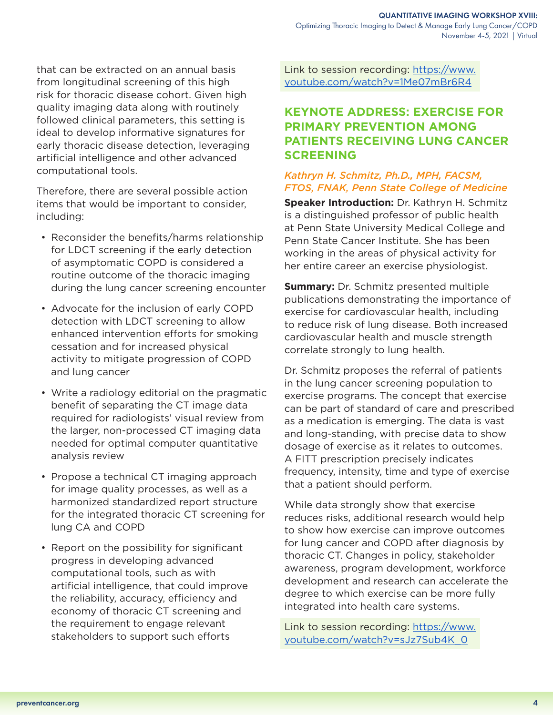that can be extracted on an annual basis from longitudinal screening of this high risk for thoracic disease cohort. Given high quality imaging data along with routinely followed clinical parameters, this setting is ideal to develop informative signatures for early thoracic disease detection, leveraging artificial intelligence and other advanced computational tools.

Therefore, there are several possible action items that would be important to consider, including:

- Reconsider the benefits/harms relationship for LDCT screening if the early detection of asymptomatic COPD is considered a routine outcome of the thoracic imaging during the lung cancer screening encounter
- Advocate for the inclusion of early COPD detection with LDCT screening to allow enhanced intervention efforts for smoking cessation and for increased physical activity to mitigate progression of COPD and lung cancer
- Write a radiology editorial on the pragmatic benefit of separating the CT image data required for radiologists' visual review from the larger, non-processed CT imaging data needed for optimal computer quantitative analysis review
- Propose a technical CT imaging approach for image quality processes, as well as a harmonized standardized report structure for the integrated thoracic CT screening for lung CA and COPD
- Report on the possibility for significant progress in developing advanced computational tools, such as with artificial intelligence, that could improve the reliability, accuracy, efficiency and economy of thoracic CT screening and the requirement to engage relevant stakeholders to support such efforts

Link to session recording: [https://www.](https://www.youtube.com/watch?v=1Me07mBr6R4) [youtube.com/watch?v=1Me07mBr6R4](https://www.youtube.com/watch?v=1Me07mBr6R4)

# **KEYNOTE ADDRESS: EXERCISE FOR PRIMARY PREVENTION AMONG PATIENTS RECEIVING LUNG CANCER SCREENING**

# *Kathryn H. Schmitz, Ph.D., MPH, FACSM, FTOS, FNAK, Penn State College of Medicine*

**Speaker Introduction:** Dr. Kathryn H. Schmitz is a distinguished professor of public health at Penn State University Medical College and Penn State Cancer Institute. She has been working in the areas of physical activity for her entire career an exercise physiologist.

**Summary:** Dr. Schmitz presented multiple publications demonstrating the importance of exercise for cardiovascular health, including to reduce risk of lung disease. Both increased cardiovascular health and muscle strength correlate strongly to lung health.

Dr. Schmitz proposes the referral of patients in the lung cancer screening population to exercise programs. The concept that exercise can be part of standard of care and prescribed as a medication is emerging. The data is vast and long-standing, with precise data to show dosage of exercise as it relates to outcomes. A FITT prescription precisely indicates frequency, intensity, time and type of exercise that a patient should perform.

While data strongly show that exercise reduces risks, additional research would help to show how exercise can improve outcomes for lung cancer and COPD after diagnosis by thoracic CT. Changes in policy, stakeholder awareness, program development, workforce development and research can accelerate the degree to which exercise can be more fully integrated into health care systems.

Link to session recording: [https://www.](https://www.youtube.com/watch?v=sJz7Sub4K_0) [youtube.com/watch?v=sJz7Sub4K\\_0](https://www.youtube.com/watch?v=sJz7Sub4K_0)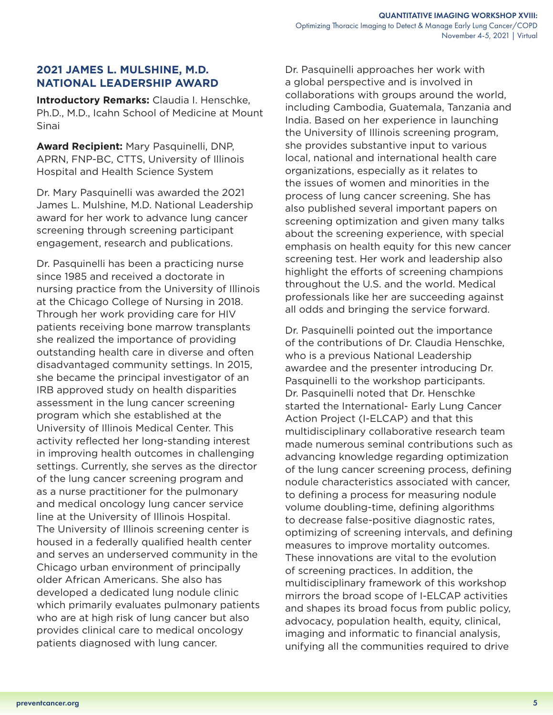# **2021 JAMES L. MULSHINE, M.D. NATIONAL LEADERSHIP AWARD**

**Introductory Remarks:** Claudia I. Henschke, Ph.D., M.D., Icahn School of Medicine at Mount Sinai

**Award Recipient:** Mary Pasquinelli, DNP, APRN, FNP-BC, CTTS, University of Illinois Hospital and Health Science System

Dr. Mary Pasquinelli was awarded the 2021 James L. Mulshine, M.D. National Leadership award for her work to advance lung cancer screening through screening participant engagement, research and publications.

Dr. Pasquinelli has been a practicing nurse since 1985 and received a doctorate in nursing practice from the University of Illinois at the Chicago College of Nursing in 2018. Through her work providing care for HIV patients receiving bone marrow transplants she realized the importance of providing outstanding health care in diverse and often disadvantaged community settings. In 2015, she became the principal investigator of an IRB approved study on health disparities assessment in the lung cancer screening program which she established at the University of Illinois Medical Center. This activity reflected her long-standing interest in improving health outcomes in challenging settings. Currently, she serves as the director of the lung cancer screening program and as a nurse practitioner for the pulmonary and medical oncology lung cancer service line at the University of Illinois Hospital. The University of Illinois screening center is housed in a federally qualified health center and serves an underserved community in the Chicago urban environment of principally older African Americans. She also has developed a dedicated lung nodule clinic which primarily evaluates pulmonary patients who are at high risk of lung cancer but also provides clinical care to medical oncology patients diagnosed with lung cancer.

Dr. Pasquinelli approaches her work with a global perspective and is involved in collaborations with groups around the world, including Cambodia, Guatemala, Tanzania and India. Based on her experience in launching the University of Illinois screening program, she provides substantive input to various local, national and international health care organizations, especially as it relates to the issues of women and minorities in the process of lung cancer screening. She has also published several important papers on screening optimization and given many talks about the screening experience, with special emphasis on health equity for this new cancer screening test. Her work and leadership also highlight the efforts of screening champions throughout the U.S. and the world. Medical professionals like her are succeeding against all odds and bringing the service forward.

Dr. Pasquinelli pointed out the importance of the contributions of Dr. Claudia Henschke, who is a previous National Leadership awardee and the presenter introducing Dr. Pasquinelli to the workshop participants. Dr. Pasquinelli noted that Dr. Henschke started the International- Early Lung Cancer Action Project (I-ELCAP) and that this multidisciplinary collaborative research team made numerous seminal contributions such as advancing knowledge regarding optimization of the lung cancer screening process, defining nodule characteristics associated with cancer, to defining a process for measuring nodule volume doubling-time, defining algorithms to decrease false-positive diagnostic rates, optimizing of screening intervals, and defining measures to improve mortality outcomes. These innovations are vital to the evolution of screening practices. In addition, the multidisciplinary framework of this workshop mirrors the broad scope of I-ELCAP activities and shapes its broad focus from public policy, advocacy, population health, equity, clinical, imaging and informatic to financial analysis, unifying all the communities required to drive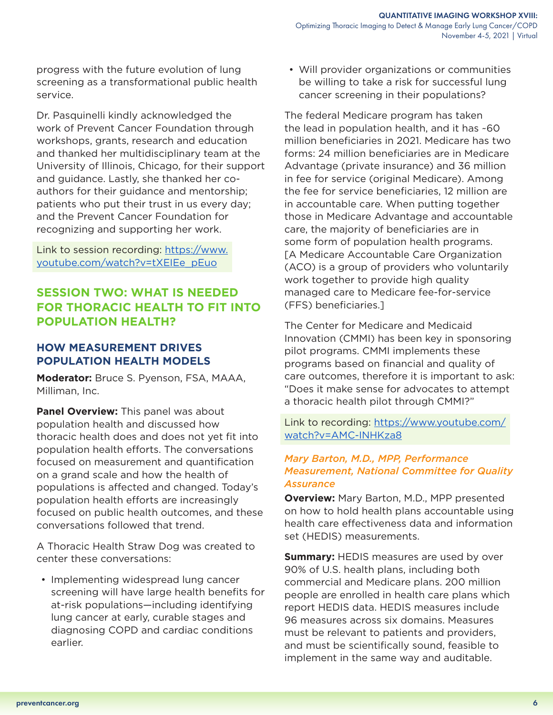<span id="page-5-0"></span>progress with the future evolution of lung screening as a transformational public health service.

Dr. Pasquinelli kindly acknowledged the work of Prevent Cancer Foundation through workshops, grants, research and education and thanked her multidisciplinary team at the University of Illinois, Chicago, for their support and guidance. Lastly, she thanked her coauthors for their guidance and mentorship; patients who put their trust in us every day; and the Prevent Cancer Foundation for recognizing and supporting her work.

Link to session recording: [https://www.](https://www.youtube.com/watch?v=tXEIEe_pEuo) [youtube.com/watch?v=tXEIEe\\_pEuo](https://www.youtube.com/watch?v=tXEIEe_pEuo)

# **SESSION TWO: WHAT IS NEEDED FOR THORACIC HEALTH TO FIT INTO POPULATION HEALTH?**

# **HOW MEASUREMENT DRIVES POPULATION HEALTH MODELS**

**Moderator:** Bruce S. Pyenson, FSA, MAAA, Milliman, Inc.

**Panel Overview:** This panel was about population health and discussed how thoracic health does and does not yet fit into population health efforts. The conversations focused on measurement and quantification on a grand scale and how the health of populations is affected and changed. Today's population health efforts are increasingly focused on public health outcomes, and these conversations followed that trend.

A Thoracic Health Straw Dog was created to center these conversations:

• Implementing widespread lung cancer screening will have large health benefits for at-risk populations—including identifying lung cancer at early, curable stages and diagnosing COPD and cardiac conditions earlier.

• Will provider organizations or communities be willing to take a risk for successful lung cancer screening in their populations?

The federal Medicare program has taken the lead in population health, and it has ~60 million beneficiaries in 2021. Medicare has two forms: 24 million beneficiaries are in Medicare Advantage (private insurance) and 36 million in fee for service (original Medicare). Among the fee for service beneficiaries, 12 million are in accountable care. When putting together those in Medicare Advantage and accountable care, the majority of beneficiaries are in some form of population health programs. [A Medicare Accountable Care Organization (ACO) is a group of providers who voluntarily work together to provide high quality managed care to Medicare fee-for-service (FFS) beneficiaries.]

The Center for Medicare and Medicaid Innovation (CMMI) has been key in sponsoring pilot programs. CMMI implements these programs based on financial and quality of care outcomes, therefore it is important to ask: "Does it make sense for advocates to attempt a thoracic health pilot through CMMI?"

Link to recording: [https://www.youtube.com/](https://www.youtube.com/watch?v=AMC-INHKza8) [watch?v=AMC-INHKza8](https://www.youtube.com/watch?v=AMC-INHKza8)

## *Mary Barton, M.D., MPP, Performance Measurement, National Committee for Quality Assurance*

**Overview:** Mary Barton, M.D., MPP presented on how to hold health plans accountable using health care effectiveness data and information set (HEDIS) measurements.

**Summary: HEDIS** measures are used by over 90% of U.S. health plans, including both commercial and Medicare plans. 200 million people are enrolled in health care plans which report HEDIS data. HEDIS measures include 96 measures across six domains. Measures must be relevant to patients and providers, and must be scientifically sound, feasible to implement in the same way and auditable.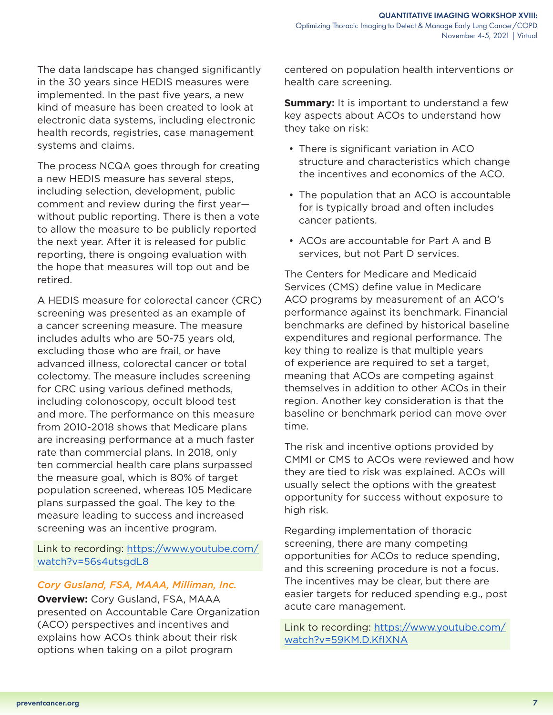The data landscape has changed significantly in the 30 years since HEDIS measures were implemented. In the past five years, a new kind of measure has been created to look at electronic data systems, including electronic health records, registries, case management systems and claims.

The process NCQA goes through for creating a new HEDIS measure has several steps, including selection, development, public comment and review during the first year without public reporting. There is then a vote to allow the measure to be publicly reported the next year. After it is released for public reporting, there is ongoing evaluation with the hope that measures will top out and be retired.

A HEDIS measure for colorectal cancer (CRC) screening was presented as an example of a cancer screening measure. The measure includes adults who are 50-75 years old, excluding those who are frail, or have advanced illness, colorectal cancer or total colectomy. The measure includes screening for CRC using various defined methods, including colonoscopy, occult blood test and more. The performance on this measure from 2010-2018 shows that Medicare plans are increasing performance at a much faster rate than commercial plans. In 2018, only ten commercial health care plans surpassed the measure goal, which is 80% of target population screened, whereas 105 Medicare plans surpassed the goal. The key to the measure leading to success and increased screening was an incentive program.

Link to recording: [https://www.youtube.com/](https://www.youtube.com/watch?v=56s4utsgdL8) [watch?v=56s4utsgdL8](https://www.youtube.com/watch?v=56s4utsgdL8)

#### *Cory Gusland, FSA, MAAA, Milliman, Inc.*

**Overview: Cory Gusland, FSA, MAAA** presented on Accountable Care Organization (ACO) perspectives and incentives and explains how ACOs think about their risk options when taking on a pilot program

centered on population health interventions or health care screening.

**Summary:** It is important to understand a few key aspects about ACOs to understand how they take on risk:

- There is significant variation in ACO structure and characteristics which change the incentives and economics of the ACO.
- The population that an ACO is accountable for is typically broad and often includes cancer patients.
- ACOs are accountable for Part A and B services, but not Part D services.

The Centers for Medicare and Medicaid Services (CMS) define value in Medicare ACO programs by measurement of an ACO's performance against its benchmark. Financial benchmarks are defined by historical baseline expenditures and regional performance. The key thing to realize is that multiple years of experience are required to set a target, meaning that ACOs are competing against themselves in addition to other ACOs in their region. Another key consideration is that the baseline or benchmark period can move over time.

The risk and incentive options provided by CMMI or CMS to ACOs were reviewed and how they are tied to risk was explained. ACOs will usually select the options with the greatest opportunity for success without exposure to high risk.

Regarding implementation of thoracic screening, there are many competing opportunities for ACOs to reduce spending, and this screening procedure is not a focus. The incentives may be clear, but there are easier targets for reduced spending e.g., post acute care management.

Link to recording: [https://www.youtube.com/](https://www.youtube.com/watch?v=59KmDKfIXNA) [watch?v=59KM.D.KfIXNA](https://www.youtube.com/watch?v=59KmDKfIXNA)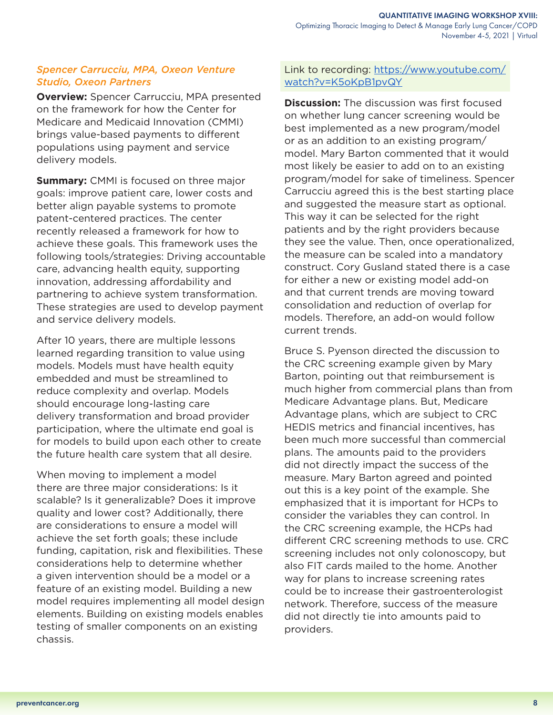## *Spencer Carrucciu, MPA, Oxeon Venture Studio, Oxeon Partners*

**Overview:** Spencer Carrucciu, MPA presented on the framework for how the Center for Medicare and Medicaid Innovation (CMMI) brings value-based payments to different populations using payment and service delivery models.

**Summary:** CMMI is focused on three major goals: improve patient care, lower costs and better align payable systems to promote patent-centered practices. The center recently released a framework for how to achieve these goals. This framework uses the following tools/strategies: Driving accountable care, advancing health equity, supporting innovation, addressing affordability and partnering to achieve system transformation. These strategies are used to develop payment and service delivery models.

After 10 years, there are multiple lessons learned regarding transition to value using models. Models must have health equity embedded and must be streamlined to reduce complexity and overlap. Models should encourage long-lasting care delivery transformation and broad provider participation, where the ultimate end goal is for models to build upon each other to create the future health care system that all desire.

When moving to implement a model there are three major considerations: Is it scalable? Is it generalizable? Does it improve quality and lower cost? Additionally, there are considerations to ensure a model will achieve the set forth goals; these include funding, capitation, risk and flexibilities. These considerations help to determine whether a given intervention should be a model or a feature of an existing model. Building a new model requires implementing all model design elements. Building on existing models enables testing of smaller components on an existing chassis.

## Link to recording: [https://www.youtube.com/](https://www.youtube.com/watch?v=K5oKpB1pvQY) [watch?v=K5oKpB1pvQY](https://www.youtube.com/watch?v=K5oKpB1pvQY)

**Discussion:** The discussion was first focused on whether lung cancer screening would be best implemented as a new program/model or as an addition to an existing program/ model. Mary Barton commented that it would most likely be easier to add on to an existing program/model for sake of timeliness. Spencer Carrucciu agreed this is the best starting place and suggested the measure start as optional. This way it can be selected for the right patients and by the right providers because they see the value. Then, once operationalized, the measure can be scaled into a mandatory construct. Cory Gusland stated there is a case for either a new or existing model add-on and that current trends are moving toward consolidation and reduction of overlap for models. Therefore, an add-on would follow current trends.

Bruce S. Pyenson directed the discussion to the CRC screening example given by Mary Barton, pointing out that reimbursement is much higher from commercial plans than from Medicare Advantage plans. But, Medicare Advantage plans, which are subject to CRC HEDIS metrics and financial incentives, has been much more successful than commercial plans. The amounts paid to the providers did not directly impact the success of the measure. Mary Barton agreed and pointed out this is a key point of the example. She emphasized that it is important for HCPs to consider the variables they can control. In the CRC screening example, the HCPs had different CRC screening methods to use. CRC screening includes not only colonoscopy, but also FIT cards mailed to the home. Another way for plans to increase screening rates could be to increase their gastroenterologist network. Therefore, success of the measure did not directly tie into amounts paid to providers.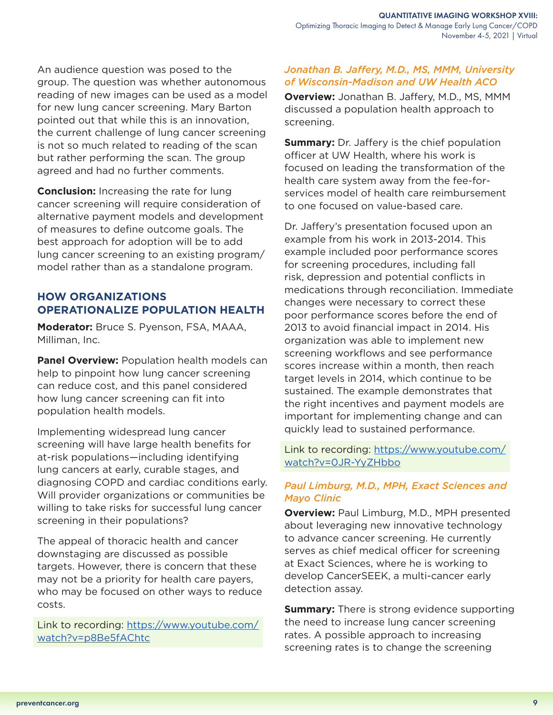An audience question was posed to the group. The question was whether autonomous reading of new images can be used as a model for new lung cancer screening. Mary Barton pointed out that while this is an innovation, the current challenge of lung cancer screening is not so much related to reading of the scan but rather performing the scan. The group agreed and had no further comments.

**Conclusion:** Increasing the rate for lung cancer screening will require consideration of alternative payment models and development of measures to define outcome goals. The best approach for adoption will be to add lung cancer screening to an existing program/ model rather than as a standalone program.

# **HOW ORGANIZATIONS OPERATIONALIZE POPULATION HEALTH**

**Moderator:** Bruce S. Pyenson, FSA, MAAA, Milliman, Inc.

**Panel Overview:** Population health models can help to pinpoint how lung cancer screening can reduce cost, and this panel considered how lung cancer screening can fit into population health models.

Implementing widespread lung cancer screening will have large health benefits for at-risk populations—including identifying lung cancers at early, curable stages, and diagnosing COPD and cardiac conditions early. Will provider organizations or communities be willing to take risks for successful lung cancer screening in their populations?

The appeal of thoracic health and cancer downstaging are discussed as possible targets. However, there is concern that these may not be a priority for health care payers, who may be focused on other ways to reduce costs.

Link to recording: [https://www.youtube.com/](https://www.youtube.com/watch?v=p8Be5fAChtc) [watch?v=p8Be5fAChtc](https://www.youtube.com/watch?v=p8Be5fAChtc)

#### *Jonathan B. Jaffery, M.D., MS, MMM, University of Wisconsin-Madison and UW Health ACO*

**Overview:** Jonathan B. Jaffery, M.D., MS, MMM discussed a population health approach to screening.

**Summary:** Dr. Jaffery is the chief population officer at UW Health, where his work is focused on leading the transformation of the health care system away from the fee-forservices model of health care reimbursement to one focused on value-based care.

Dr. Jaffery's presentation focused upon an example from his work in 2013-2014. This example included poor performance scores for screening procedures, including fall risk, depression and potential conflicts in medications through reconciliation. Immediate changes were necessary to correct these poor performance scores before the end of 2013 to avoid financial impact in 2014. His organization was able to implement new screening workflows and see performance scores increase within a month, then reach target levels in 2014, which continue to be sustained. The example demonstrates that the right incentives and payment models are important for implementing change and can quickly lead to sustained performance.

Link to recording: [https://www.youtube.com/](https://www.youtube.com/watch?v=0JR-YyZHbbo) [watch?v=0JR-YyZHbbo](https://www.youtube.com/watch?v=0JR-YyZHbbo)

# *Paul Limburg, M.D., MPH, Exact Sciences and Mayo Clinic*

**Overview:** Paul Limburg, M.D., MPH presented about leveraging new innovative technology to advance cancer screening. He currently serves as chief medical officer for screening at Exact Sciences, where he is working to develop CancerSEEK, a multi-cancer early detection assay.

**Summary:** There is strong evidence supporting the need to increase lung cancer screening rates. A possible approach to increasing screening rates is to change the screening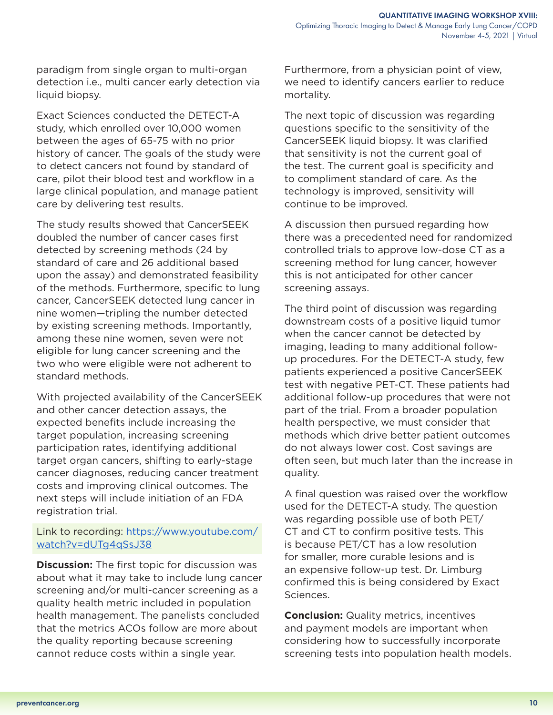paradigm from single organ to multi-organ detection i.e., multi cancer early detection via liquid biopsy.

Exact Sciences conducted the DETECT-A study, which enrolled over 10,000 women between the ages of 65-75 with no prior history of cancer. The goals of the study were to detect cancers not found by standard of care, pilot their blood test and workflow in a large clinical population, and manage patient care by delivering test results.

The study results showed that CancerSEEK doubled the number of cancer cases first detected by screening methods (24 by standard of care and 26 additional based upon the assay) and demonstrated feasibility of the methods. Furthermore, specific to lung cancer, CancerSEEK detected lung cancer in nine women—tripling the number detected by existing screening methods. Importantly, among these nine women, seven were not eligible for lung cancer screening and the two who were eligible were not adherent to standard methods.

With projected availability of the CancerSEEK and other cancer detection assays, the expected benefits include increasing the target population, increasing screening participation rates, identifying additional target organ cancers, shifting to early-stage cancer diagnoses, reducing cancer treatment costs and improving clinical outcomes. The next steps will include initiation of an FDA registration trial.

## Link to recording: [https://www.youtube.com/](https://www.youtube.com/watch?v=dUTg4qSsJ38) [watch?v=dUTg4qSsJ38](https://www.youtube.com/watch?v=dUTg4qSsJ38)

**Discussion:** The first topic for discussion was about what it may take to include lung cancer screening and/or multi-cancer screening as a quality health metric included in population health management. The panelists concluded that the metrics ACOs follow are more about the quality reporting because screening cannot reduce costs within a single year.

Furthermore, from a physician point of view, we need to identify cancers earlier to reduce mortality.

The next topic of discussion was regarding questions specific to the sensitivity of the CancerSEEK liquid biopsy. It was clarified that sensitivity is not the current goal of the test. The current goal is specificity and to compliment standard of care. As the technology is improved, sensitivity will continue to be improved.

A discussion then pursued regarding how there was a precedented need for randomized controlled trials to approve low-dose CT as a screening method for lung cancer, however this is not anticipated for other cancer screening assays.

The third point of discussion was regarding downstream costs of a positive liquid tumor when the cancer cannot be detected by imaging, leading to many additional followup procedures. For the DETECT-A study, few patients experienced a positive CancerSEEK test with negative PET-CT. These patients had additional follow-up procedures that were not part of the trial. From a broader population health perspective, we must consider that methods which drive better patient outcomes do not always lower cost. Cost savings are often seen, but much later than the increase in quality.

A final question was raised over the workflow used for the DETECT-A study. The question was regarding possible use of both PET/ CT and CT to confirm positive tests. This is because PET/CT has a low resolution for smaller, more curable lesions and is an expensive follow-up test. Dr. Limburg confirmed this is being considered by Exact Sciences.

**Conclusion:** Quality metrics, incentives and payment models are important when considering how to successfully incorporate screening tests into population health models.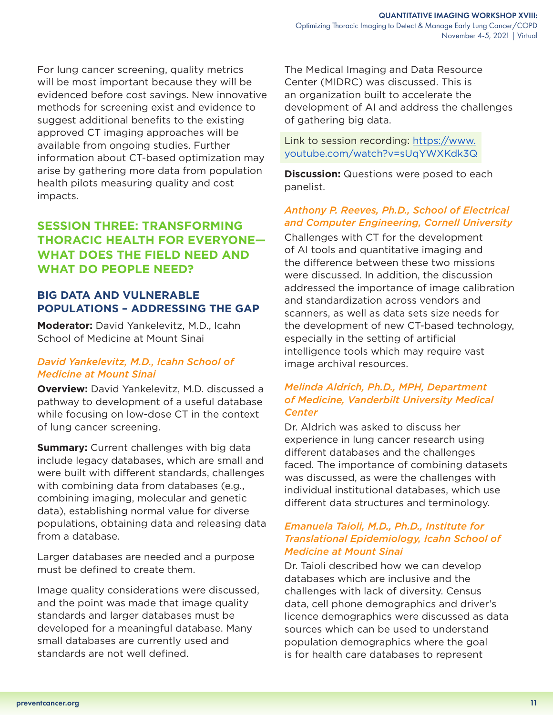<span id="page-10-0"></span>For lung cancer screening, quality metrics will be most important because they will be evidenced before cost savings. New innovative methods for screening exist and evidence to suggest additional benefits to the existing approved CT imaging approaches will be available from ongoing studies. Further information about CT-based optimization may arise by gathering more data from population health pilots measuring quality and cost impacts.

# **SESSION THREE: TRANSFORMING THORACIC HEALTH FOR EVERYONE— WHAT DOES THE FIELD NEED AND WHAT DO PEOPLE NEED?**

# **BIG DATA AND VULNERABLE POPULATIONS – ADDRESSING THE GAP**

**Moderator:** David Yankelevitz, M.D., Icahn School of Medicine at Mount Sinai

## *David Yankelevitz, M.D., Icahn School of Medicine at Mount Sinai*

**Overview:** David Yankelevitz, M.D. discussed a pathway to development of a useful database while focusing on low-dose CT in the context of lung cancer screening.

**Summary:** Current challenges with big data include legacy databases, which are small and were built with different standards, challenges with combining data from databases (e.g., combining imaging, molecular and genetic data), establishing normal value for diverse populations, obtaining data and releasing data from a database.

Larger databases are needed and a purpose must be defined to create them.

Image quality considerations were discussed, and the point was made that image quality standards and larger databases must be developed for a meaningful database. Many small databases are currently used and standards are not well defined.

The Medical Imaging and Data Resource Center (MIDRC) was discussed. This is an organization built to accelerate the development of AI and address the challenges of gathering big data.

Link to session recording: [https://www.](https://www.youtube.com/watch?v=sUqYWXKdk3Q) [youtube.com/watch?v=sUqYWXKdk3Q](https://www.youtube.com/watch?v=sUqYWXKdk3Q)

**Discussion:** Questions were posed to each panelist.

## *Anthony P. Reeves, Ph.D., School of Electrical and Computer Engineering, Cornell University*

Challenges with CT for the development of AI tools and quantitative imaging and the difference between these two missions were discussed. In addition, the discussion addressed the importance of image calibration and standardization across vendors and scanners, as well as data sets size needs for the development of new CT-based technology, especially in the setting of artificial intelligence tools which may require vast image archival resources.

#### *Melinda Aldrich, Ph.D., MPH, Department of Medicine, Vanderbilt University Medical Center*

Dr. Aldrich was asked to discuss her experience in lung cancer research using different databases and the challenges faced. The importance of combining datasets was discussed, as were the challenges with individual institutional databases, which use different data structures and terminology.

## *Emanuela Taioli, M.D., Ph.D., Institute for Translational Epidemiology, Icahn School of Medicine at Mount Sinai*

Dr. Taioli described how we can develop databases which are inclusive and the challenges with lack of diversity. Census data, cell phone demographics and driver's licence demographics were discussed as data sources which can be used to understand population demographics where the goal is for health care databases to represent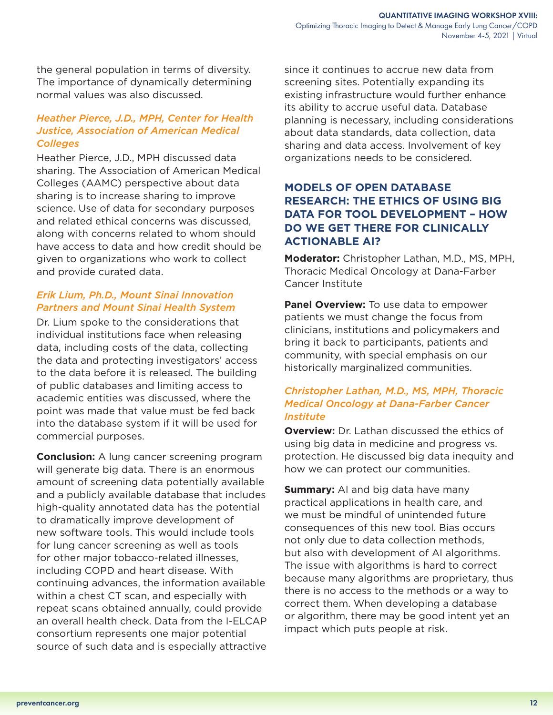the general population in terms of diversity. The importance of dynamically determining normal values was also discussed.

## *Heather Pierce, J.D., MPH, Center for Health Justice, Association of American Medical Colleges*

Heather Pierce, J.D., MPH discussed data sharing. The Association of American Medical Colleges (AAMC) perspective about data sharing is to increase sharing to improve science. Use of data for secondary purposes and related ethical concerns was discussed, along with concerns related to whom should have access to data and how credit should be given to organizations who work to collect and provide curated data.

## *Erik Lium, Ph.D., Mount Sinai Innovation Partners and Mount Sinai Health System*

Dr. Lium spoke to the considerations that individual institutions face when releasing data, including costs of the data, collecting the data and protecting investigators' access to the data before it is released. The building of public databases and limiting access to academic entities was discussed, where the point was made that value must be fed back into the database system if it will be used for commercial purposes.

**Conclusion:** A lung cancer screening program will generate big data. There is an enormous amount of screening data potentially available and a publicly available database that includes high-quality annotated data has the potential to dramatically improve development of new software tools. This would include tools for lung cancer screening as well as tools for other major tobacco-related illnesses, including COPD and heart disease. With continuing advances, the information available within a chest CT scan, and especially with repeat scans obtained annually, could provide an overall health check. Data from the I-ELCAP consortium represents one major potential source of such data and is especially attractive

since it continues to accrue new data from screening sites. Potentially expanding its existing infrastructure would further enhance its ability to accrue useful data. Database planning is necessary, including considerations about data standards, data collection, data sharing and data access. Involvement of key organizations needs to be considered.

# **MODELS OF OPEN DATABASE RESEARCH: THE ETHICS OF USING BIG DATA FOR TOOL DEVELOPMENT – HOW DO WE GET THERE FOR CLINICALLY ACTIONABLE AI?**

**Moderator:** Christopher Lathan, M.D., MS, MPH, Thoracic Medical Oncology at Dana-Farber Cancer Institute

**Panel Overview:** To use data to empower patients we must change the focus from clinicians, institutions and policymakers and bring it back to participants, patients and community, with special emphasis on our historically marginalized communities.

## *Christopher Lathan, M.D., MS, MPH, Thoracic Medical Oncology at Dana-Farber Cancer Institute*

**Overview:** Dr. Lathan discussed the ethics of using big data in medicine and progress vs. protection. He discussed big data inequity and how we can protect our communities.

**Summary:** AI and big data have many practical applications in health care, and we must be mindful of unintended future consequences of this new tool. Bias occurs not only due to data collection methods, but also with development of AI algorithms. The issue with algorithms is hard to correct because many algorithms are proprietary, thus there is no access to the methods or a way to correct them. When developing a database or algorithm, there may be good intent yet an impact which puts people at risk.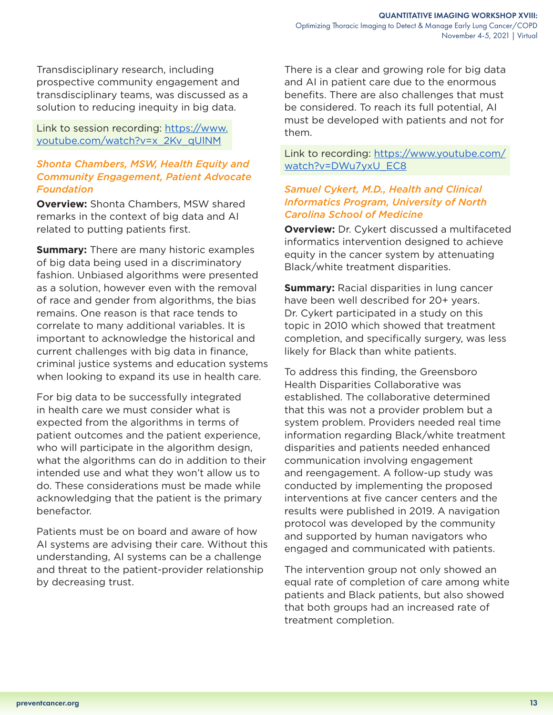Transdisciplinary research, including prospective community engagement and transdisciplinary teams, was discussed as a solution to reducing inequity in big data.

Link to session recording: [https://www.](https://www.youtube.com/watch?v=x_2Kv_qUlNM) [youtube.com/watch?v=x\\_2Kv\\_qUlNM](https://www.youtube.com/watch?v=x_2Kv_qUlNM)

## *Shonta Chambers, MSW, Health Equity and Community Engagement, Patient Advocate Foundation*

**Overview:** Shonta Chambers, MSW shared remarks in the context of big data and AI related to putting patients first.

**Summary:** There are many historic examples of big data being used in a discriminatory fashion. Unbiased algorithms were presented as a solution, however even with the removal of race and gender from algorithms, the bias remains. One reason is that race tends to correlate to many additional variables. It is important to acknowledge the historical and current challenges with big data in finance, criminal justice systems and education systems when looking to expand its use in health care.

For big data to be successfully integrated in health care we must consider what is expected from the algorithms in terms of patient outcomes and the patient experience, who will participate in the algorithm design, what the algorithms can do in addition to their intended use and what they won't allow us to do. These considerations must be made while acknowledging that the patient is the primary benefactor.

Patients must be on board and aware of how AI systems are advising their care. Without this understanding, AI systems can be a challenge and threat to the patient-provider relationship by decreasing trust.

There is a clear and growing role for big data and AI in patient care due to the enormous benefits. There are also challenges that must be considered. To reach its full potential, AI must be developed with patients and not for them.

Link to recording: [https://www.youtube.com/](https://www.youtube.com/watch?v=DWu7yxU_EC8) [watch?v=DWu7yxU\\_EC8](https://www.youtube.com/watch?v=DWu7yxU_EC8)

#### *Samuel Cykert, M.D., Health and Clinical Informatics Program, University of North Carolina School of Medicine*

**Overview:** Dr. Cykert discussed a multifaceted informatics intervention designed to achieve equity in the cancer system by attenuating Black/white treatment disparities.

**Summary:** Racial disparities in lung cancer have been well described for 20+ years. Dr. Cykert participated in a study on this topic in 2010 which showed that treatment completion, and specifically surgery, was less likely for Black than white patients.

To address this finding, the Greensboro Health Disparities Collaborative was established. The collaborative determined that this was not a provider problem but a system problem. Providers needed real time information regarding Black/white treatment disparities and patients needed enhanced communication involving engagement and reengagement. A follow-up study was conducted by implementing the proposed interventions at five cancer centers and the results were published in 2019. A navigation protocol was developed by the community and supported by human navigators who engaged and communicated with patients.

The intervention group not only showed an equal rate of completion of care among white patients and Black patients, but also showed that both groups had an increased rate of treatment completion.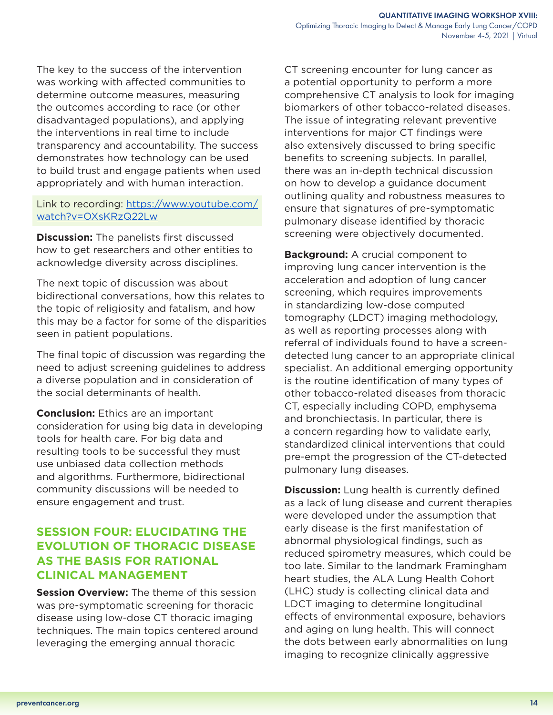<span id="page-13-0"></span>The key to the success of the intervention was working with affected communities to determine outcome measures, measuring the outcomes according to race (or other disadvantaged populations), and applying the interventions in real time to include transparency and accountability. The success demonstrates how technology can be used to build trust and engage patients when used appropriately and with human interaction.

## Link to recording: [https://www.youtube.com/](https://www.youtube.com/watch?v=OXsKRzQ22Lw) [watch?v=OXsKRzQ22Lw](https://www.youtube.com/watch?v=OXsKRzQ22Lw)

**Discussion:** The panelists first discussed how to get researchers and other entities to acknowledge diversity across disciplines.

The next topic of discussion was about bidirectional conversations, how this relates to the topic of religiosity and fatalism, and how this may be a factor for some of the disparities seen in patient populations.

The final topic of discussion was regarding the need to adjust screening guidelines to address a diverse population and in consideration of the social determinants of health.

**Conclusion:** Ethics are an important consideration for using big data in developing tools for health care. For big data and resulting tools to be successful they must use unbiased data collection methods and algorithms. Furthermore, bidirectional community discussions will be needed to ensure engagement and trust.

# **SESSION FOUR: ELUCIDATING THE EVOLUTION OF THORACIC DISEASE AS THE BASIS FOR RATIONAL CLINICAL MANAGEMENT**

**Session Overview:** The theme of this session was pre-symptomatic screening for thoracic disease using low-dose CT thoracic imaging techniques. The main topics centered around leveraging the emerging annual thoracic

CT screening encounter for lung cancer as a potential opportunity to perform a more comprehensive CT analysis to look for imaging biomarkers of other tobacco-related diseases. The issue of integrating relevant preventive interventions for major CT findings were also extensively discussed to bring specific benefits to screening subjects. In parallel, there was an in-depth technical discussion on how to develop a guidance document outlining quality and robustness measures to ensure that signatures of pre-symptomatic pulmonary disease identified by thoracic screening were objectively documented.

**Background:** A crucial component to improving lung cancer intervention is the acceleration and adoption of lung cancer screening, which requires improvements in standardizing low-dose computed tomography (LDCT) imaging methodology, as well as reporting processes along with referral of individuals found to have a screendetected lung cancer to an appropriate clinical specialist. An additional emerging opportunity is the routine identification of many types of other tobacco-related diseases from thoracic CT, especially including COPD, emphysema and bronchiectasis. In particular, there is a concern regarding how to validate early, standardized clinical interventions that could pre-empt the progression of the CT-detected pulmonary lung diseases.

**Discussion:** Lung health is currently defined as a lack of lung disease and current therapies were developed under the assumption that early disease is the first manifestation of abnormal physiological findings, such as reduced spirometry measures, which could be too late. Similar to the landmark Framingham heart studies, the ALA Lung Health Cohort (LHC) study is collecting clinical data and LDCT imaging to determine longitudinal effects of environmental exposure, behaviors and aging on lung health. This will connect the dots between early abnormalities on lung imaging to recognize clinically aggressive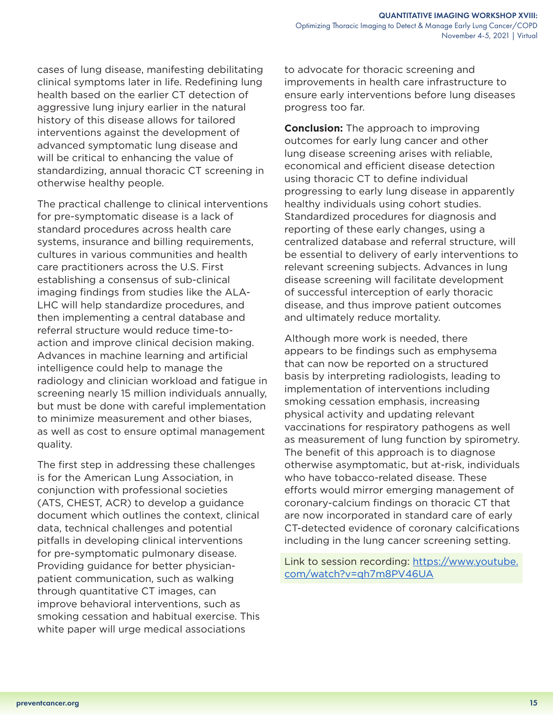cases of lung disease, manifesting debilitating clinical symptoms later in life. Redefining lung health based on the earlier CT detection of aggressive lung injury earlier in the natural history of this disease allows for tailored interventions against the development of advanced symptomatic lung disease and will be critical to enhancing the value of standardizing, annual thoracic CT screening in otherwise healthy people.

The practical challenge to clinical interventions for pre-symptomatic disease is a lack of standard procedures across health care systems, insurance and billing requirements, cultures in various communities and health care practitioners across the U.S. First establishing a consensus of sub-clinical imaging findings from studies like the ALA-LHC will help standardize procedures, and then implementing a central database and referral structure would reduce time-toaction and improve clinical decision making. Advances in machine learning and artificial intelligence could help to manage the radiology and clinician workload and fatigue in screening nearly 15 million individuals annually, but must be done with careful implementation to minimize measurement and other biases, as well as cost to ensure optimal management quality.

The first step in addressing these challenges is for the American Lung Association, in conjunction with professional societies (ATS, CHEST, ACR) to develop a guidance document which outlines the context, clinical data, technical challenges and potential pitfalls in developing clinical interventions for pre-symptomatic pulmonary disease. Providing guidance for better physicianpatient communication, such as walking through quantitative CT images, can improve behavioral interventions, such as smoking cessation and habitual exercise. This white paper will urge medical associations

to advocate for thoracic screening and improvements in health care infrastructure to ensure early interventions before lung diseases progress too far.

**Conclusion:** The approach to improving outcomes for early lung cancer and other lung disease screening arises with reliable, economical and efficient disease detection using thoracic CT to define individual progressing to early lung disease in apparently healthy individuals using cohort studies. Standardized procedures for diagnosis and reporting of these early changes, using a centralized database and referral structure, will be essential to delivery of early interventions to relevant screening subjects. Advances in lung disease screening will facilitate development of successful interception of early thoracic disease, and thus improve patient outcomes and ultimately reduce mortality.

Although more work is needed, there appears to be findings such as emphysema that can now be reported on a structured basis by interpreting radiologists, leading to implementation of interventions including smoking cessation emphasis, increasing physical activity and updating relevant vaccinations for respiratory pathogens as well as measurement of lung function by spirometry. The benefit of this approach is to diagnose otherwise asymptomatic, but at-risk, individuals who have tobacco-related disease. These efforts would mirror emerging management of coronary-calcium findings on thoracic CT that are now incorporated in standard care of early CT-detected evidence of coronary calcifications including in the lung cancer screening setting.

Link to session recording: [https://www.youtube.](https://www.youtube.com/watch?v=qh7m8PV46UA) [com/watch?v=qh7m8PV46UA](https://www.youtube.com/watch?v=qh7m8PV46UA)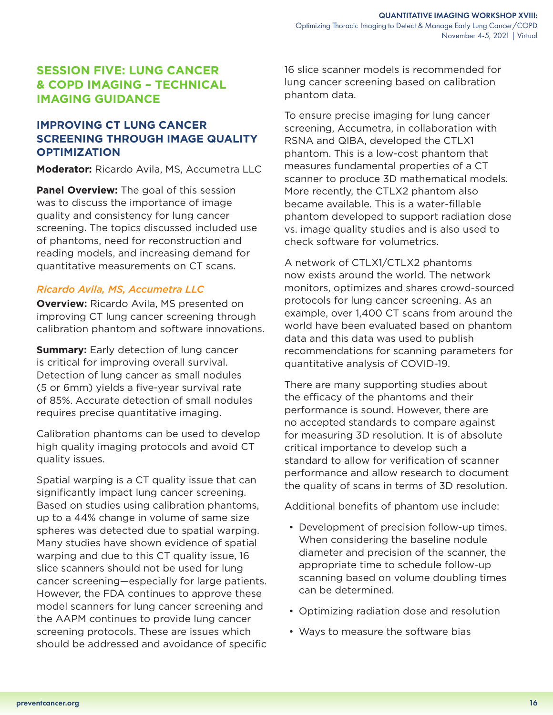# <span id="page-15-0"></span>**SESSION FIVE: LUNG CANCER & COPD IMAGING – TECHNICAL IMAGING GUIDANCE**

# **IMPROVING CT LUNG CANCER SCREENING THROUGH IMAGE QUALITY OPTIMIZATION**

**Moderator:** Ricardo Avila, MS, Accumetra LLC

**Panel Overview:** The goal of this session was to discuss the importance of image quality and consistency for lung cancer screening. The topics discussed included use of phantoms, need for reconstruction and reading models, and increasing demand for quantitative measurements on CT scans.

#### *Ricardo Avila, MS, Accumetra LLC*

**Overview:** Ricardo Avila, MS presented on improving CT lung cancer screening through calibration phantom and software innovations.

**Summary:** Early detection of lung cancer is critical for improving overall survival. Detection of lung cancer as small nodules (5 or 6mm) yields a five-year survival rate of 85%. Accurate detection of small nodules requires precise quantitative imaging.

Calibration phantoms can be used to develop high quality imaging protocols and avoid CT quality issues.

Spatial warping is a CT quality issue that can significantly impact lung cancer screening. Based on studies using calibration phantoms, up to a 44% change in volume of same size spheres was detected due to spatial warping. Many studies have shown evidence of spatial warping and due to this CT quality issue, 16 slice scanners should not be used for lung cancer screening—especially for large patients. However, the FDA continues to approve these model scanners for lung cancer screening and the AAPM continues to provide lung cancer screening protocols. These are issues which should be addressed and avoidance of specific 16 slice scanner models is recommended for lung cancer screening based on calibration phantom data.

To ensure precise imaging for lung cancer screening, Accumetra, in collaboration with RSNA and QIBA, developed the CTLX1 phantom. This is a low-cost phantom that measures fundamental properties of a CT scanner to produce 3D mathematical models. More recently, the CTLX2 phantom also became available. This is a water-fillable phantom developed to support radiation dose vs. image quality studies and is also used to check software for volumetrics.

A network of CTLX1/CTLX2 phantoms now exists around the world. The network monitors, optimizes and shares crowd-sourced protocols for lung cancer screening. As an example, over 1,400 CT scans from around the world have been evaluated based on phantom data and this data was used to publish recommendations for scanning parameters for quantitative analysis of COVID-19.

There are many supporting studies about the efficacy of the phantoms and their performance is sound. However, there are no accepted standards to compare against for measuring 3D resolution. It is of absolute critical importance to develop such a standard to allow for verification of scanner performance and allow research to document the quality of scans in terms of 3D resolution.

Additional benefits of phantom use include:

- Development of precision follow-up times. When considering the baseline nodule diameter and precision of the scanner, the appropriate time to schedule follow-up scanning based on volume doubling times can be determined.
- Optimizing radiation dose and resolution
- Ways to measure the software bias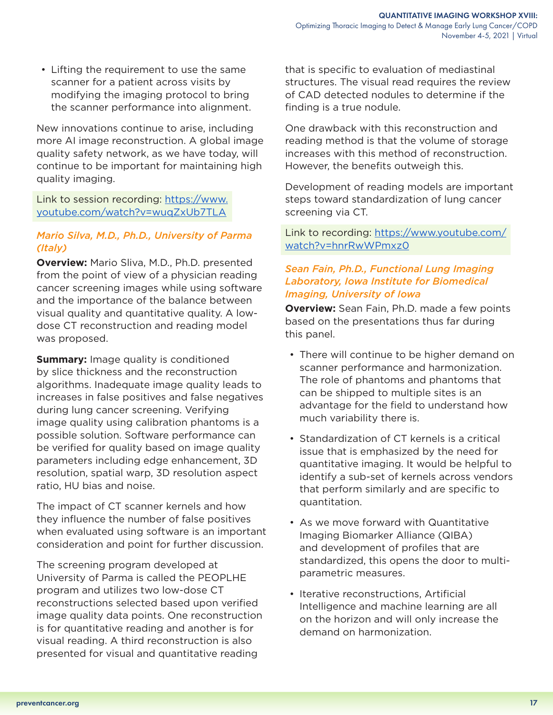• Lifting the requirement to use the same scanner for a patient across visits by modifying the imaging protocol to bring the scanner performance into alignment.

New innovations continue to arise, including more AI image reconstruction. A global image quality safety network, as we have today, will continue to be important for maintaining high quality imaging.

Link to session recording: [https://www.](https://www.youtube.com/watch?v=wuqZxUb7TLA) [youtube.com/watch?v=wuqZxUb7TLA](https://www.youtube.com/watch?v=wuqZxUb7TLA)

# *Mario Silva, M.D., Ph.D., University of Parma (Italy)*

**Overview:** Mario Sliva, M.D., Ph.D. presented from the point of view of a physician reading cancer screening images while using software and the importance of the balance between visual quality and quantitative quality. A lowdose CT reconstruction and reading model was proposed.

**Summary:** Image quality is conditioned by slice thickness and the reconstruction algorithms. Inadequate image quality leads to increases in false positives and false negatives during lung cancer screening. Verifying image quality using calibration phantoms is a possible solution. Software performance can be verified for quality based on image quality parameters including edge enhancement, 3D resolution, spatial warp, 3D resolution aspect ratio, HU bias and noise.

The impact of CT scanner kernels and how they influence the number of false positives when evaluated using software is an important consideration and point for further discussion.

The screening program developed at University of Parma is called the PEOPLHE program and utilizes two low-dose CT reconstructions selected based upon verified image quality data points. One reconstruction is for quantitative reading and another is for visual reading. A third reconstruction is also presented for visual and quantitative reading

that is specific to evaluation of mediastinal structures. The visual read requires the review of CAD detected nodules to determine if the finding is a true nodule.

One drawback with this reconstruction and reading method is that the volume of storage increases with this method of reconstruction. However, the benefits outweigh this.

Development of reading models are important steps toward standardization of lung cancer screening via CT.

Link to recording: [https://www.youtube.com/](https://www.youtube.com/watch?v=hnrRwWPmxz0) [watch?v=hnrRwWPmxz0](https://www.youtube.com/watch?v=hnrRwWPmxz0)

# *Sean Fain, Ph.D., Functional Lung Imaging Laboratory, Iowa Institute for Biomedical Imaging, University of Iowa*

**Overview:** Sean Fain, Ph.D. made a few points based on the presentations thus far during this panel.

- There will continue to be higher demand on scanner performance and harmonization. The role of phantoms and phantoms that can be shipped to multiple sites is an advantage for the field to understand how much variability there is.
- Standardization of CT kernels is a critical issue that is emphasized by the need for quantitative imaging. It would be helpful to identify a sub-set of kernels across vendors that perform similarly and are specific to quantitation.
- As we move forward with Quantitative Imaging Biomarker Alliance (QIBA) and development of profiles that are standardized, this opens the door to multiparametric measures.
- Iterative reconstructions, Artificial Intelligence and machine learning are all on the horizon and will only increase the demand on harmonization.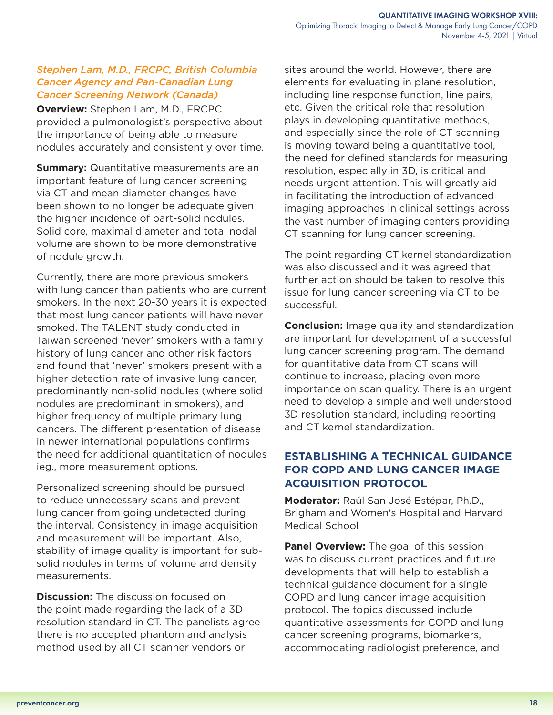## *Stephen Lam, M.D., FRCPC, British Columbia Cancer Agency and Pan-Canadian Lung Cancer Screening Network (Canada)*

**Overview:** Stephen Lam, M.D., FRCPC provided a pulmonologist's perspective about the importance of being able to measure nodules accurately and consistently over time.

**Summary:** Quantitative measurements are an important feature of lung cancer screening via CT and mean diameter changes have been shown to no longer be adequate given the higher incidence of part-solid nodules. Solid core, maximal diameter and total nodal volume are shown to be more demonstrative of nodule growth.

Currently, there are more previous smokers with lung cancer than patients who are current smokers. In the next 20-30 years it is expected that most lung cancer patients will have never smoked. The TALENT study conducted in Taiwan screened 'never' smokers with a family history of lung cancer and other risk factors and found that 'never' smokers present with a higher detection rate of invasive lung cancer, predominantly non-solid nodules (where solid nodules are predominant in smokers), and higher frequency of multiple primary lung cancers. The different presentation of disease in newer international populations confirms the need for additional quantitation of nodules ieg., more measurement options.

Personalized screening should be pursued to reduce unnecessary scans and prevent lung cancer from going undetected during the interval. Consistency in image acquisition and measurement will be important. Also, stability of image quality is important for subsolid nodules in terms of volume and density measurements.

**Discussion:** The discussion focused on the point made regarding the lack of a 3D resolution standard in CT. The panelists agree there is no accepted phantom and analysis method used by all CT scanner vendors or

sites around the world. However, there are elements for evaluating in plane resolution, including line response function, line pairs, etc. Given the critical role that resolution plays in developing quantitative methods, and especially since the role of CT scanning is moving toward being a quantitative tool, the need for defined standards for measuring resolution, especially in 3D, is critical and needs urgent attention. This will greatly aid in facilitating the introduction of advanced imaging approaches in clinical settings across the vast number of imaging centers providing CT scanning for lung cancer screening.

The point regarding CT kernel standardization was also discussed and it was agreed that further action should be taken to resolve this issue for lung cancer screening via CT to be successful.

**Conclusion:** Image quality and standardization are important for development of a successful lung cancer screening program. The demand for quantitative data from CT scans will continue to increase, placing even more importance on scan quality. There is an urgent need to develop a simple and well understood 3D resolution standard, including reporting and CT kernel standardization.

# **ESTABLISHING A TECHNICAL GUIDANCE FOR COPD AND LUNG CANCER IMAGE ACQUISITION PROTOCOL**

**Moderator:** Raúl San José Estépar, Ph.D., Brigham and Women's Hospital and Harvard Medical School

**Panel Overview:** The goal of this session was to discuss current practices and future developments that will help to establish a technical guidance document for a single COPD and lung cancer image acquisition protocol. The topics discussed include quantitative assessments for COPD and lung cancer screening programs, biomarkers, accommodating radiologist preference, and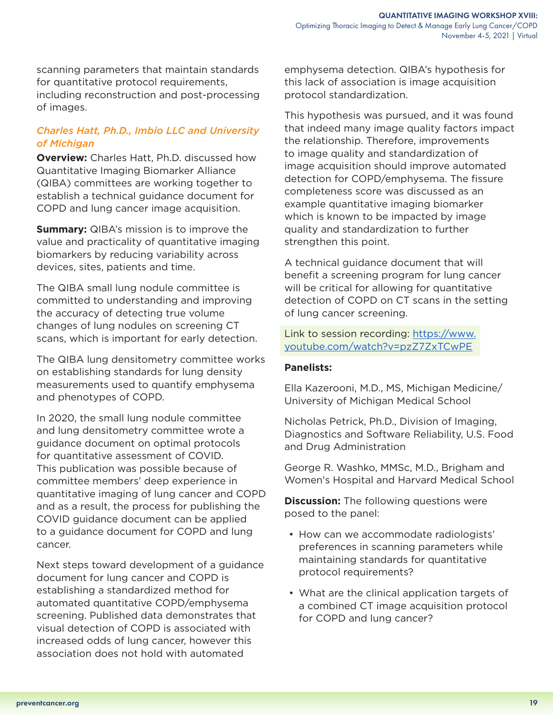scanning parameters that maintain standards for quantitative protocol requirements, including reconstruction and post-processing of images.

# *Charles Hatt, Ph.D., Imbio LLC and University of Michigan*

**Overview:** Charles Hatt, Ph.D. discussed how Quantitative Imaging Biomarker Alliance (QIBA) committees are working together to establish a technical guidance document for COPD and lung cancer image acquisition.

**Summary:** QIBA's mission is to improve the value and practicality of quantitative imaging biomarkers by reducing variability across devices, sites, patients and time.

The QIBA small lung nodule committee is committed to understanding and improving the accuracy of detecting true volume changes of lung nodules on screening CT scans, which is important for early detection.

The QIBA lung densitometry committee works on establishing standards for lung density measurements used to quantify emphysema and phenotypes of COPD.

In 2020, the small lung nodule committee and lung densitometry committee wrote a guidance document on optimal protocols for quantitative assessment of COVID. This publication was possible because of committee members' deep experience in quantitative imaging of lung cancer and COPD and as a result, the process for publishing the COVID guidance document can be applied to a guidance document for COPD and lung cancer.

Next steps toward development of a guidance document for lung cancer and COPD is establishing a standardized method for automated quantitative COPD/emphysema screening. Published data demonstrates that visual detection of COPD is associated with increased odds of lung cancer, however this association does not hold with automated

emphysema detection. QIBA's hypothesis for this lack of association is image acquisition protocol standardization.

This hypothesis was pursued, and it was found that indeed many image quality factors impact the relationship. Therefore, improvements to image quality and standardization of image acquisition should improve automated detection for COPD/emphysema. The fissure completeness score was discussed as an example quantitative imaging biomarker which is known to be impacted by image quality and standardization to further strengthen this point.

A technical guidance document that will benefit a screening program for lung cancer will be critical for allowing for quantitative detection of COPD on CT scans in the setting of lung cancer screening.

Link to session recording: [https://www.](https://www.youtube.com/watch?v=pzZ7ZxTCwPE) [youtube.com/watch?v=pzZ7ZxTCwPE](https://www.youtube.com/watch?v=pzZ7ZxTCwPE)

#### **Panelists:**

Ella Kazerooni, M.D., MS, Michigan Medicine/ University of Michigan Medical School

Nicholas Petrick, Ph.D., Division of Imaging, Diagnostics and Software Reliability, U.S. Food and Drug Administration

George R. Washko, MMSc, M.D., Brigham and Women's Hospital and Harvard Medical School

**Discussion:** The following questions were posed to the panel:

- How can we accommodate radiologists' preferences in scanning parameters while maintaining standards for quantitative protocol requirements?
- What are the clinical application targets of a combined CT image acquisition protocol for COPD and lung cancer?